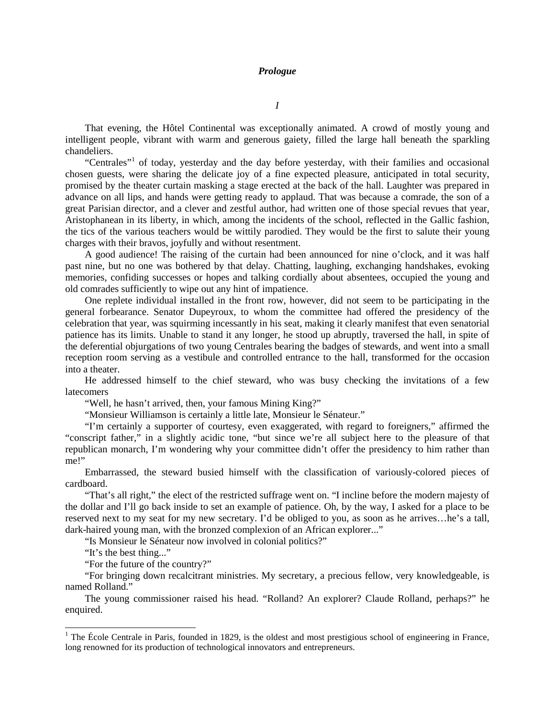## *Prologue*

*I*

That evening, the Hôtel Continental was exceptionally animated. A crowd of mostly young and intelligent people, vibrant with warm and generous gaiety, filled the large hall beneath the sparkling chandeliers.

"Centrales"<sup>[1](#page-0-0)</sup> of today, yesterday and the day before yesterday, with their families and occasional chosen guests, were sharing the delicate joy of a fine expected pleasure, anticipated in total security, promised by the theater curtain masking a stage erected at the back of the hall. Laughter was prepared in advance on all lips, and hands were getting ready to applaud. That was because a comrade, the son of a great Parisian director, and a clever and zestful author, had written one of those special revues that year, Aristophanean in its liberty, in which, among the incidents of the school, reflected in the Gallic fashion, the tics of the various teachers would be wittily parodied. They would be the first to salute their young charges with their bravos, joyfully and without resentment.

A good audience! The raising of the curtain had been announced for nine o'clock, and it was half past nine, but no one was bothered by that delay. Chatting, laughing, exchanging handshakes, evoking memories, confiding successes or hopes and talking cordially about absentees, occupied the young and old comrades sufficiently to wipe out any hint of impatience.

One replete individual installed in the front row, however, did not seem to be participating in the general forbearance. Senator Dupeyroux, to whom the committee had offered the presidency of the celebration that year, was squirming incessantly in his seat, making it clearly manifest that even senatorial patience has its limits. Unable to stand it any longer, he stood up abruptly, traversed the hall, in spite of the deferential objurgations of two young Centrales bearing the badges of stewards, and went into a small reception room serving as a vestibule and controlled entrance to the hall, transformed for the occasion into a theater.

He addressed himself to the chief steward, who was busy checking the invitations of a few **latecomers** 

"Well, he hasn't arrived, then, your famous Mining King?"

"Monsieur Williamson is certainly a little late, Monsieur le Sénateur."

"I'm certainly a supporter of courtesy, even exaggerated, with regard to foreigners," affirmed the "conscript father," in a slightly acidic tone, "but since we're all subject here to the pleasure of that republican monarch, I'm wondering why your committee didn't offer the presidency to him rather than me!"

Embarrassed, the steward busied himself with the classification of variously-colored pieces of cardboard.

"That's all right," the elect of the restricted suffrage went on. "I incline before the modern majesty of the dollar and I'll go back inside to set an example of patience. Oh, by the way, I asked for a place to be reserved next to my seat for my new secretary. I'd be obliged to you, as soon as he arrives…he's a tall, dark-haired young man, with the bronzed complexion of an African explorer..."

"Is Monsieur le Sénateur now involved in colonial politics?"

"It's the best thing..."

"For the future of the country?"

"For bringing down recalcitrant ministries. My secretary, a precious fellow, very knowledgeable, is named Rolland."

The young commissioner raised his head. "Rolland? An explorer? Claude Rolland, perhaps?" he enquired.

<span id="page-0-0"></span> $1$  The École Centrale in Paris, founded in 1829, is the oldest and most prestigious school of engineering in France, long renowned for its production of technological innovators and entrepreneurs.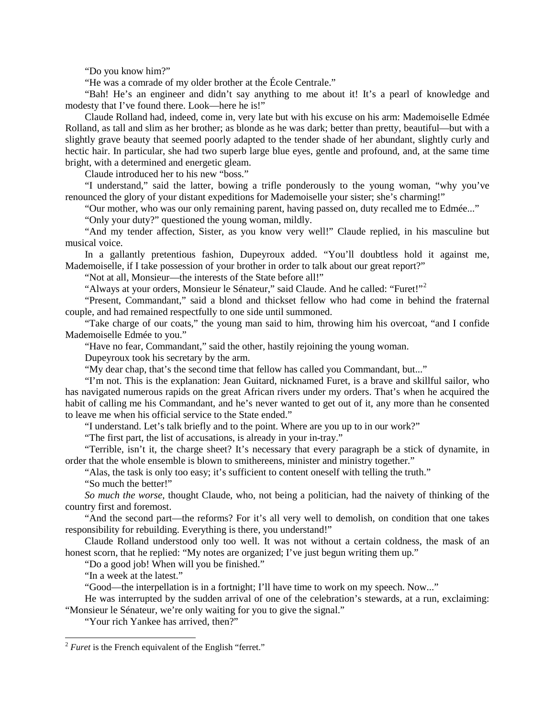"Do you know him?"

"He was a comrade of my older brother at the École Centrale."

"Bah! He's an engineer and didn't say anything to me about it! It's a pearl of knowledge and modesty that I've found there. Look—here he is!"

Claude Rolland had, indeed, come in, very late but with his excuse on his arm: Mademoiselle Edmée Rolland, as tall and slim as her brother; as blonde as he was dark; better than pretty, beautiful—but with a slightly grave beauty that seemed poorly adapted to the tender shade of her abundant, slightly curly and hectic hair. In particular, she had two superb large blue eyes, gentle and profound, and, at the same time bright, with a determined and energetic gleam.

Claude introduced her to his new "boss."

"I understand," said the latter, bowing a trifle ponderously to the young woman, "why you've renounced the glory of your distant expeditions for Mademoiselle your sister; she's charming!"

"Our mother, who was our only remaining parent, having passed on, duty recalled me to Edmée..."

"Only your duty?" questioned the young woman, mildly.

"And my tender affection, Sister, as you know very well!" Claude replied, in his masculine but musical voice.

In a gallantly pretentious fashion, Dupeyroux added. "You'll doubtless hold it against me, Mademoiselle, if I take possession of your brother in order to talk about our great report?"

"Not at all, Monsieur—the interests of the State before all!"

"Always at your orders, Monsieur le Sénateur," said Claude. And he called: "Furet!"[2](#page-1-0)

"Present, Commandant," said a blond and thickset fellow who had come in behind the fraternal couple, and had remained respectfully to one side until summoned.

"Take charge of our coats," the young man said to him, throwing him his overcoat, "and I confide Mademoiselle Edmée to you."

"Have no fear, Commandant," said the other, hastily rejoining the young woman.

Dupeyroux took his secretary by the arm.

"My dear chap, that's the second time that fellow has called you Commandant, but..."

"I'm not. This is the explanation: Jean Guitard, nicknamed Furet, is a brave and skillful sailor, who has navigated numerous rapids on the great African rivers under my orders. That's when he acquired the habit of calling me his Commandant, and he's never wanted to get out of it, any more than he consented to leave me when his official service to the State ended."

"I understand. Let's talk briefly and to the point. Where are you up to in our work?"

"The first part, the list of accusations, is already in your in-tray."

"Terrible, isn't it, the charge sheet? It's necessary that every paragraph be a stick of dynamite, in order that the whole ensemble is blown to smithereens, minister and ministry together."

"Alas, the task is only too easy; it's sufficient to content oneself with telling the truth."

"So much the better!"

*So much the worse*, thought Claude, who, not being a politician, had the naivety of thinking of the country first and foremost.

"And the second part—the reforms? For it's all very well to demolish, on condition that one takes responsibility for rebuilding. Everything is there, you understand!"

Claude Rolland understood only too well. It was not without a certain coldness, the mask of an honest scorn, that he replied: "My notes are organized; I've just begun writing them up."

"Do a good job! When will you be finished."

"In a week at the latest."

"Good—the interpellation is in a fortnight; I'll have time to work on my speech. Now..."

He was interrupted by the sudden arrival of one of the celebration's stewards, at a run, exclaiming: "Monsieur le Sénateur, we're only waiting for you to give the signal."

"Your rich Yankee has arrived, then?"

<span id="page-1-0"></span><sup>&</sup>lt;sup>2</sup> *Furet* is the French equivalent of the English "ferret."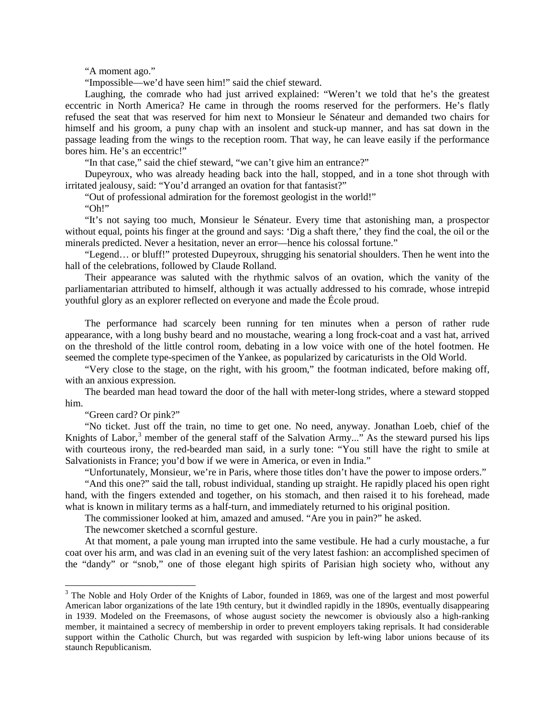"A moment ago."

"Impossible—we'd have seen him!" said the chief steward.

Laughing, the comrade who had just arrived explained: "Weren't we told that he's the greatest eccentric in North America? He came in through the rooms reserved for the performers. He's flatly refused the seat that was reserved for him next to Monsieur le Sénateur and demanded two chairs for himself and his groom, a puny chap with an insolent and stuck-up manner, and has sat down in the passage leading from the wings to the reception room. That way, he can leave easily if the performance bores him. He's an eccentric!"

"In that case," said the chief steward, "we can't give him an entrance?"

Dupeyroux, who was already heading back into the hall, stopped, and in a tone shot through with irritated jealousy, said: "You'd arranged an ovation for that fantasist?"

"Out of professional admiration for the foremost geologist in the world!"

"Oh!"

"It's not saying too much, Monsieur le Sénateur. Every time that astonishing man, a prospector without equal, points his finger at the ground and says: 'Dig a shaft there,' they find the coal, the oil or the minerals predicted. Never a hesitation, never an error—hence his colossal fortune."

"Legend… or bluff!" protested Dupeyroux, shrugging his senatorial shoulders. Then he went into the hall of the celebrations, followed by Claude Rolland.

Their appearance was saluted with the rhythmic salvos of an ovation, which the vanity of the parliamentarian attributed to himself, although it was actually addressed to his comrade, whose intrepid youthful glory as an explorer reflected on everyone and made the École proud.

The performance had scarcely been running for ten minutes when a person of rather rude appearance, with a long bushy beard and no moustache, wearing a long frock-coat and a vast hat, arrived on the threshold of the little control room, debating in a low voice with one of the hotel footmen. He seemed the complete type-specimen of the Yankee, as popularized by caricaturists in the Old World.

"Very close to the stage, on the right, with his groom," the footman indicated, before making off, with an anxious expression.

The bearded man head toward the door of the hall with meter-long strides, where a steward stopped him.

"Green card? Or pink?"

"No ticket. Just off the train, no time to get one. No need, anyway. Jonathan Loeb, chief of the Knights of Labor,<sup>[3](#page-2-0)</sup> member of the general staff of the Salvation Army..." As the steward pursed his lips with courteous irony, the red-bearded man said, in a surly tone: "You still have the right to smile at Salvationists in France; you'd bow if we were in America, or even in India."

"Unfortunately, Monsieur, we're in Paris, where those titles don't have the power to impose orders."

"And this one?" said the tall, robust individual, standing up straight. He rapidly placed his open right hand, with the fingers extended and together, on his stomach, and then raised it to his forehead, made what is known in military terms as a half-turn, and immediately returned to his original position.

The commissioner looked at him, amazed and amused. "Are you in pain?" he asked.

The newcomer sketched a scornful gesture.

At that moment, a pale young man irrupted into the same vestibule. He had a curly moustache, a fur coat over his arm, and was clad in an evening suit of the very latest fashion: an accomplished specimen of the "dandy" or "snob," one of those elegant high spirits of Parisian high society who, without any

<span id="page-2-0"></span><sup>&</sup>lt;sup>3</sup> The Noble and Holy Order of the Knights of Labor, founded in 1869, was one of the largest and most powerful American labor organizations of the late 19th century, but it dwindled rapidly in the 1890s, eventually disappearing in 1939. Modeled on the Freemasons, of whose august society the newcomer is obviously also a high-ranking member, it maintained a secrecy of membership in order to prevent employers taking reprisals. It had considerable support within the Catholic Church, but was regarded with suspicion by left-wing labor unions because of its staunch Republicanism.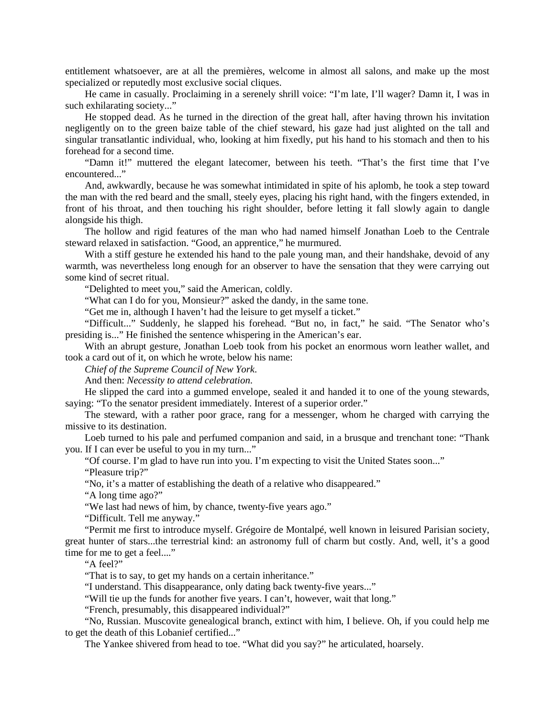entitlement whatsoever, are at all the premières, welcome in almost all salons, and make up the most specialized or reputedly most exclusive social cliques.

He came in casually. Proclaiming in a serenely shrill voice: "I'm late, I'll wager? Damn it, I was in such exhilarating society..."

He stopped dead. As he turned in the direction of the great hall, after having thrown his invitation negligently on to the green baize table of the chief steward, his gaze had just alighted on the tall and singular transatlantic individual, who, looking at him fixedly, put his hand to his stomach and then to his forehead for a second time.

"Damn it!" muttered the elegant latecomer, between his teeth. "That's the first time that I've encountered..."

And, awkwardly, because he was somewhat intimidated in spite of his aplomb, he took a step toward the man with the red beard and the small, steely eyes, placing his right hand, with the fingers extended, in front of his throat, and then touching his right shoulder, before letting it fall slowly again to dangle alongside his thigh.

The hollow and rigid features of the man who had named himself Jonathan Loeb to the Centrale steward relaxed in satisfaction. "Good, an apprentice," he murmured.

With a stiff gesture he extended his hand to the pale young man, and their handshake, devoid of any warmth, was nevertheless long enough for an observer to have the sensation that they were carrying out some kind of secret ritual.

"Delighted to meet you," said the American, coldly.

"What can I do for you, Monsieur?" asked the dandy, in the same tone.

"Get me in, although I haven't had the leisure to get myself a ticket."

"Difficult..." Suddenly, he slapped his forehead. "But no, in fact," he said. "The Senator who's presiding is..." He finished the sentence whispering in the American's ear.

With an abrupt gesture, Jonathan Loeb took from his pocket an enormous worn leather wallet, and took a card out of it, on which he wrote, below his name:

*Chief of the Supreme Council of New York*.

And then: *Necessity to attend celebration*.

He slipped the card into a gummed envelope, sealed it and handed it to one of the young stewards, saying: "To the senator president immediately. Interest of a superior order."

The steward, with a rather poor grace, rang for a messenger, whom he charged with carrying the missive to its destination.

Loeb turned to his pale and perfumed companion and said, in a brusque and trenchant tone: "Thank you. If I can ever be useful to you in my turn..."

"Of course. I'm glad to have run into you. I'm expecting to visit the United States soon..."

"Pleasure trip?"

"No, it's a matter of establishing the death of a relative who disappeared."

"A long time ago?"

"We last had news of him, by chance, twenty-five years ago."

"Difficult. Tell me anyway."

"Permit me first to introduce myself. Grégoire de Montalpé, well known in leisured Parisian society, great hunter of stars...the terrestrial kind: an astronomy full of charm but costly. And, well, it's a good time for me to get a feel...."

"A feel?"

"That is to say, to get my hands on a certain inheritance."

"I understand. This disappearance, only dating back twenty-five years..."

"Will tie up the funds for another five years. I can't, however, wait that long."

"French, presumably, this disappeared individual?"

"No, Russian. Muscovite genealogical branch, extinct with him, I believe. Oh, if you could help me to get the death of this Lobanief certified..."

The Yankee shivered from head to toe. "What did you say?" he articulated, hoarsely.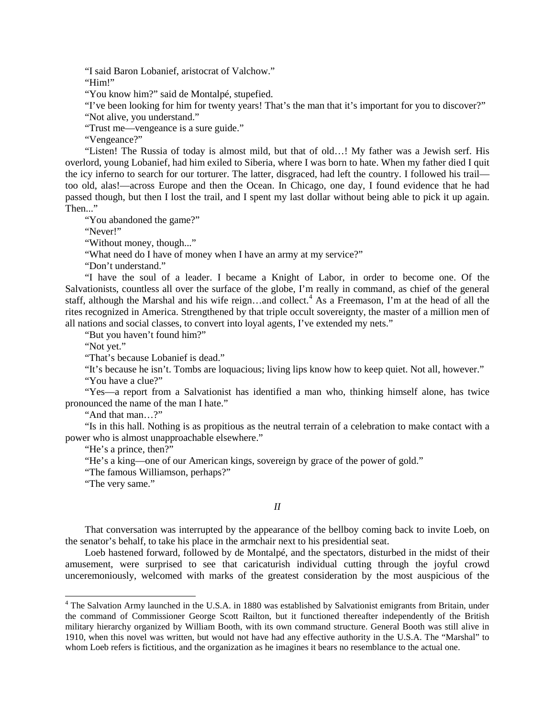"I said Baron Lobanief, aristocrat of Valchow."

"Him!"

"You know him?" said de Montalpé, stupefied.

"I've been looking for him for twenty years! That's the man that it's important for you to discover?" "Not alive, you understand."

"Trust me—vengeance is a sure guide."

"Vengeance?"

"Listen! The Russia of today is almost mild, but that of old…! My father was a Jewish serf. His overlord, young Lobanief, had him exiled to Siberia, where I was born to hate. When my father died I quit the icy inferno to search for our torturer. The latter, disgraced, had left the country. I followed his trail too old, alas!—across Europe and then the Ocean. In Chicago, one day, I found evidence that he had passed though, but then I lost the trail, and I spent my last dollar without being able to pick it up again. Then..."

"You abandoned the game?"

"Never!"

"Without money, though..."

"What need do I have of money when I have an army at my service?"

"Don't understand."

"I have the soul of a leader. I became a Knight of Labor, in order to become one. Of the Salvationists, countless all over the surface of the globe, I'm really in command, as chief of the general staff, although the Marshal and his wife reign...and collect.<sup>[4](#page-4-0)</sup> As a Freemason, I'm at the head of all the rites recognized in America. Strengthened by that triple occult sovereignty, the master of a million men of all nations and social classes, to convert into loyal agents, I've extended my nets."

"But you haven't found him?"

"Not yet."

"That's because Lobanief is dead."

"It's because he isn't. Tombs are loquacious; living lips know how to keep quiet. Not all, however."

"You have a clue?"

"Yes—a report from a Salvationist has identified a man who, thinking himself alone, has twice pronounced the name of the man I hate."

"And that man…?"

"Is in this hall. Nothing is as propitious as the neutral terrain of a celebration to make contact with a power who is almost unapproachable elsewhere."

"He's a prince, then?"

"He's a king—one of our American kings, sovereign by grace of the power of gold."

"The famous Williamson, perhaps?"

"The very same."

## *II*

That conversation was interrupted by the appearance of the bellboy coming back to invite Loeb, on the senator's behalf, to take his place in the armchair next to his presidential seat.

Loeb hastened forward, followed by de Montalpé, and the spectators, disturbed in the midst of their amusement, were surprised to see that caricaturish individual cutting through the joyful crowd unceremoniously, welcomed with marks of the greatest consideration by the most auspicious of the

<span id="page-4-0"></span><sup>&</sup>lt;sup>4</sup> The Salvation Army launched in the U.S.A. in 1880 was established by Salvationist emigrants from Britain, under the command of Commissioner George Scott Railton, but it functioned thereafter independently of the British military hierarchy organized by William Booth, with its own command structure. General Booth was still alive in 1910, when this novel was written, but would not have had any effective authority in the U.S.A. The "Marshal" to whom Loeb refers is fictitious, and the organization as he imagines it bears no resemblance to the actual one.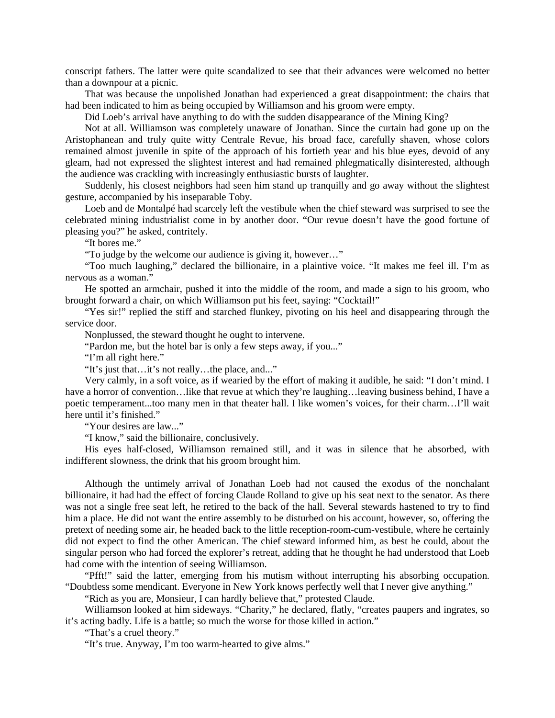conscript fathers. The latter were quite scandalized to see that their advances were welcomed no better than a downpour at a picnic.

That was because the unpolished Jonathan had experienced a great disappointment: the chairs that had been indicated to him as being occupied by Williamson and his groom were empty.

Did Loeb's arrival have anything to do with the sudden disappearance of the Mining King?

Not at all. Williamson was completely unaware of Jonathan. Since the curtain had gone up on the Aristophanean and truly quite witty Centrale Revue, his broad face, carefully shaven, whose colors remained almost juvenile in spite of the approach of his fortieth year and his blue eyes, devoid of any gleam, had not expressed the slightest interest and had remained phlegmatically disinterested, although the audience was crackling with increasingly enthusiastic bursts of laughter.

Suddenly, his closest neighbors had seen him stand up tranquilly and go away without the slightest gesture, accompanied by his inseparable Toby.

Loeb and de Montalpé had scarcely left the vestibule when the chief steward was surprised to see the celebrated mining industrialist come in by another door. "Our revue doesn't have the good fortune of pleasing you?" he asked, contritely.

"It bores me."

"To judge by the welcome our audience is giving it, however…"

"Too much laughing," declared the billionaire, in a plaintive voice. "It makes me feel ill. I'm as nervous as a woman."

He spotted an armchair, pushed it into the middle of the room, and made a sign to his groom, who brought forward a chair, on which Williamson put his feet, saying: "Cocktail!"

"Yes sir!" replied the stiff and starched flunkey, pivoting on his heel and disappearing through the service door.

Nonplussed, the steward thought he ought to intervene.

"Pardon me, but the hotel bar is only a few steps away, if you..."

"I'm all right here."

"It's just that…it's not really…the place, and..."

Very calmly, in a soft voice, as if wearied by the effort of making it audible, he said: "I don't mind. I have a horror of convention…like that revue at which they're laughing…leaving business behind, I have a poetic temperament...too many men in that theater hall. I like women's voices, for their charm…I'll wait here until it's finished."

"Your desires are law..."

"I know," said the billionaire, conclusively.

His eyes half-closed, Williamson remained still, and it was in silence that he absorbed, with indifferent slowness, the drink that his groom brought him.

Although the untimely arrival of Jonathan Loeb had not caused the exodus of the nonchalant billionaire, it had had the effect of forcing Claude Rolland to give up his seat next to the senator. As there was not a single free seat left, he retired to the back of the hall. Several stewards hastened to try to find him a place. He did not want the entire assembly to be disturbed on his account, however, so, offering the pretext of needing some air, he headed back to the little reception-room-cum-vestibule, where he certainly did not expect to find the other American. The chief steward informed him, as best he could, about the singular person who had forced the explorer's retreat, adding that he thought he had understood that Loeb had come with the intention of seeing Williamson.

"Pfft!" said the latter, emerging from his mutism without interrupting his absorbing occupation. "Doubtless some mendicant. Everyone in New York knows perfectly well that I never give anything."

"Rich as you are, Monsieur, I can hardly believe that," protested Claude.

Williamson looked at him sideways. "Charity," he declared, flatly, "creates paupers and ingrates, so it's acting badly. Life is a battle; so much the worse for those killed in action."

"That's a cruel theory."

"It's true. Anyway, I'm too warm-hearted to give alms."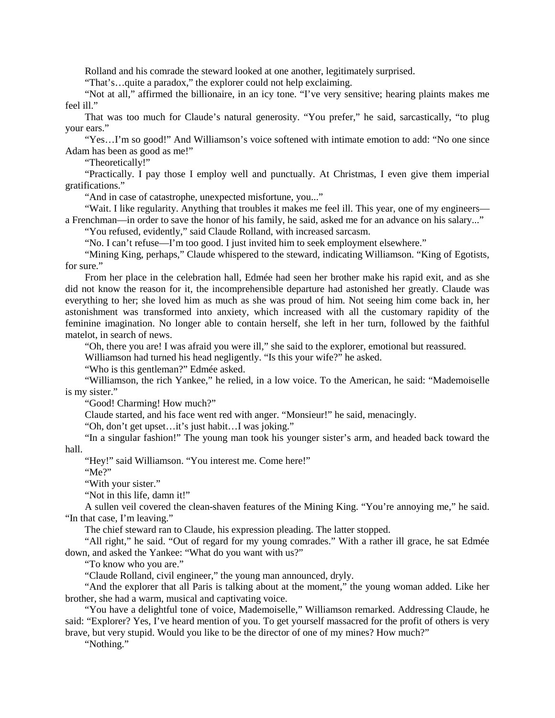Rolland and his comrade the steward looked at one another, legitimately surprised.

"That's…quite a paradox," the explorer could not help exclaiming.

"Not at all," affirmed the billionaire, in an icy tone. "I've very sensitive; hearing plaints makes me feel ill."

That was too much for Claude's natural generosity. "You prefer," he said, sarcastically, "to plug your ears."

"Yes…I'm so good!" And Williamson's voice softened with intimate emotion to add: "No one since Adam has been as good as me!"

"Theoretically!"

"Practically. I pay those I employ well and punctually. At Christmas, I even give them imperial gratifications."

"And in case of catastrophe, unexpected misfortune, you..."

"Wait. I like regularity. Anything that troubles it makes me feel ill. This year, one of my engineers a Frenchman—in order to save the honor of his family, he said, asked me for an advance on his salary..."

"You refused, evidently," said Claude Rolland, with increased sarcasm.

"No. I can't refuse—I'm too good. I just invited him to seek employment elsewhere."

"Mining King, perhaps," Claude whispered to the steward, indicating Williamson. "King of Egotists, for sure."

From her place in the celebration hall, Edmée had seen her brother make his rapid exit, and as she did not know the reason for it, the incomprehensible departure had astonished her greatly. Claude was everything to her; she loved him as much as she was proud of him. Not seeing him come back in, her astonishment was transformed into anxiety, which increased with all the customary rapidity of the feminine imagination. No longer able to contain herself, she left in her turn, followed by the faithful matelot, in search of news.

"Oh, there you are! I was afraid you were ill," she said to the explorer, emotional but reassured.

Williamson had turned his head negligently. "Is this your wife?" he asked.

"Who is this gentleman?" Edmée asked.

"Williamson, the rich Yankee," he relied, in a low voice. To the American, he said: "Mademoiselle is my sister."

"Good! Charming! How much?"

Claude started, and his face went red with anger. "Monsieur!" he said, menacingly.

"Oh, don't get upset…it's just habit…I was joking."

"In a singular fashion!" The young man took his younger sister's arm, and headed back toward the hall.

"Hey!" said Williamson. "You interest me. Come here!"

"Me?"

"With your sister."

"Not in this life, damn it!"

A sullen veil covered the clean-shaven features of the Mining King. "You're annoying me," he said. "In that case, I'm leaving."

The chief steward ran to Claude, his expression pleading. The latter stopped.

"All right," he said. "Out of regard for my young comrades." With a rather ill grace, he sat Edmée down, and asked the Yankee: "What do you want with us?"

"To know who you are."

"Claude Rolland, civil engineer," the young man announced, dryly.

"And the explorer that all Paris is talking about at the moment," the young woman added. Like her brother, she had a warm, musical and captivating voice.

"You have a delightful tone of voice, Mademoiselle," Williamson remarked. Addressing Claude, he said: "Explorer? Yes, I've heard mention of you. To get yourself massacred for the profit of others is very brave, but very stupid. Would you like to be the director of one of my mines? How much?"

"Nothing."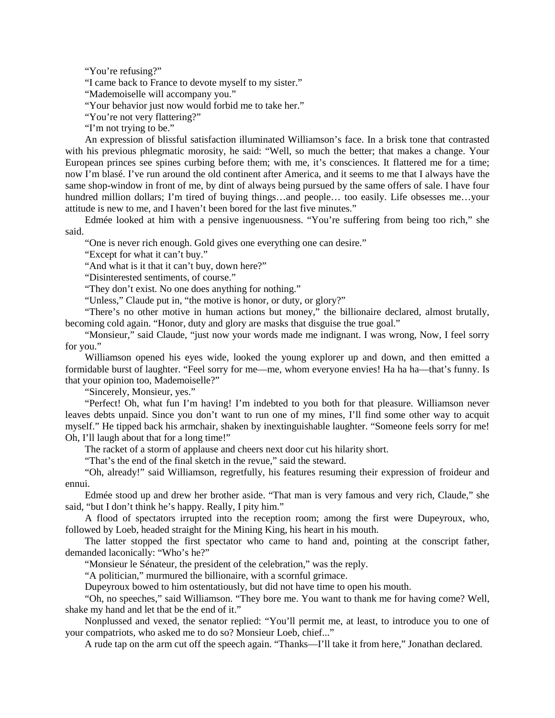"You're refusing?"

"I came back to France to devote myself to my sister."

"Mademoiselle will accompany you."

"Your behavior just now would forbid me to take her."

"You're not very flattering?"

"I'm not trying to be."

An expression of blissful satisfaction illuminated Williamson's face. In a brisk tone that contrasted with his previous phlegmatic morosity, he said: "Well, so much the better; that makes a change. Your European princes see spines curbing before them; with me, it's consciences. It flattered me for a time; now I'm blasé. I've run around the old continent after America, and it seems to me that I always have the same shop-window in front of me, by dint of always being pursued by the same offers of sale. I have four hundred million dollars; I'm tired of buying things...and people... too easily. Life obsesses me...your attitude is new to me, and I haven't been bored for the last five minutes."

Edmée looked at him with a pensive ingenuousness. "You're suffering from being too rich," she said.

"One is never rich enough. Gold gives one everything one can desire."

"Except for what it can't buy."

"And what is it that it can't buy, down here?"

"Disinterested sentiments, of course."

"They don't exist. No one does anything for nothing."

"Unless," Claude put in, "the motive is honor, or duty, or glory?"

"There's no other motive in human actions but money," the billionaire declared, almost brutally, becoming cold again. "Honor, duty and glory are masks that disguise the true goal."

"Monsieur," said Claude, "just now your words made me indignant. I was wrong, Now, I feel sorry for you."

Williamson opened his eyes wide, looked the young explorer up and down, and then emitted a formidable burst of laughter. "Feel sorry for me—me, whom everyone envies! Ha ha ha—that's funny. Is that your opinion too, Mademoiselle?"

"Sincerely, Monsieur, yes."

"Perfect! Oh, what fun I'm having! I'm indebted to you both for that pleasure. Williamson never leaves debts unpaid. Since you don't want to run one of my mines, I'll find some other way to acquit myself." He tipped back his armchair, shaken by inextinguishable laughter. "Someone feels sorry for me! Oh, I'll laugh about that for a long time!"

The racket of a storm of applause and cheers next door cut his hilarity short.

"That's the end of the final sketch in the revue," said the steward.

"Oh, already!" said Williamson, regretfully, his features resuming their expression of froideur and ennui.

Edmée stood up and drew her brother aside. "That man is very famous and very rich, Claude," she said, "but I don't think he's happy. Really, I pity him."

A flood of spectators irrupted into the reception room; among the first were Dupeyroux, who, followed by Loeb, headed straight for the Mining King, his heart in his mouth.

The latter stopped the first spectator who came to hand and, pointing at the conscript father, demanded laconically: "Who's he?"

"Monsieur le Sénateur, the president of the celebration," was the reply.

"A politician," murmured the billionaire, with a scornful grimace.

Dupeyroux bowed to him ostentatiously, but did not have time to open his mouth.

"Oh, no speeches," said Williamson. "They bore me. You want to thank me for having come? Well, shake my hand and let that be the end of it."

Nonplussed and vexed, the senator replied: "You'll permit me, at least, to introduce you to one of your compatriots, who asked me to do so? Monsieur Loeb, chief..."

A rude tap on the arm cut off the speech again. "Thanks—I'll take it from here," Jonathan declared.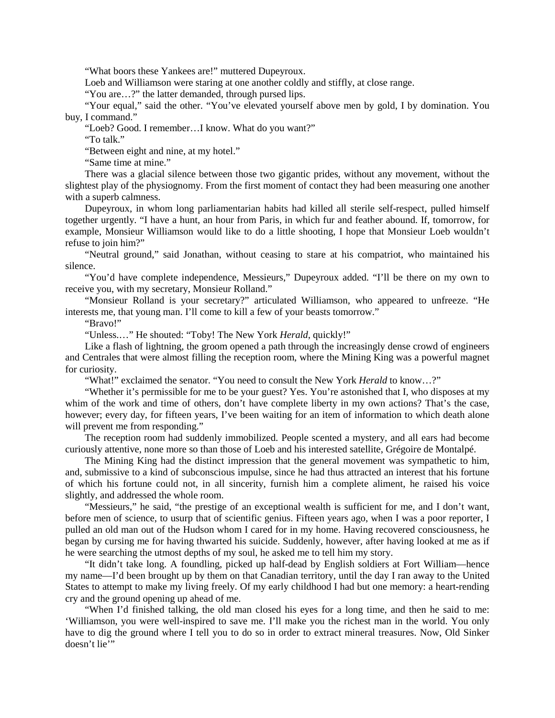"What boors these Yankees are!" muttered Dupeyroux.

Loeb and Williamson were staring at one another coldly and stiffly, at close range.

"You are…?" the latter demanded, through pursed lips.

"Your equal," said the other. "You've elevated yourself above men by gold, I by domination. You buy, I command."

"Loeb? Good. I remember…I know. What do you want?"

"To talk."

"Between eight and nine, at my hotel."

"Same time at mine."

There was a glacial silence between those two gigantic prides, without any movement, without the slightest play of the physiognomy. From the first moment of contact they had been measuring one another with a superb calmness.

Dupeyroux, in whom long parliamentarian habits had killed all sterile self-respect, pulled himself together urgently. "I have a hunt, an hour from Paris, in which fur and feather abound. If, tomorrow, for example, Monsieur Williamson would like to do a little shooting, I hope that Monsieur Loeb wouldn't refuse to join him?"

"Neutral ground," said Jonathan, without ceasing to stare at his compatriot, who maintained his silence.

"You'd have complete independence, Messieurs," Dupeyroux added. "I'll be there on my own to receive you, with my secretary, Monsieur Rolland."

"Monsieur Rolland is your secretary?" articulated Williamson, who appeared to unfreeze. "He interests me, that young man. I'll come to kill a few of your beasts tomorrow."

"Bravo!"

"Unless.…" He shouted: "Toby! The New York *Herald*, quickly!"

Like a flash of lightning, the groom opened a path through the increasingly dense crowd of engineers and Centrales that were almost filling the reception room, where the Mining King was a powerful magnet for curiosity.

"What!" exclaimed the senator. "You need to consult the New York *Herald* to know…?"

"Whether it's permissible for me to be your guest? Yes. You're astonished that I, who disposes at my whim of the work and time of others, don't have complete liberty in my own actions? That's the case, however; every day, for fifteen years, I've been waiting for an item of information to which death alone will prevent me from responding."

The reception room had suddenly immobilized. People scented a mystery, and all ears had become curiously attentive, none more so than those of Loeb and his interested satellite, Grégoire de Montalpé.

The Mining King had the distinct impression that the general movement was sympathetic to him, and, submissive to a kind of subconscious impulse, since he had thus attracted an interest that his fortune of which his fortune could not, in all sincerity, furnish him a complete aliment, he raised his voice slightly, and addressed the whole room.

"Messieurs," he said, "the prestige of an exceptional wealth is sufficient for me, and I don't want, before men of science, to usurp that of scientific genius. Fifteen years ago, when I was a poor reporter, I pulled an old man out of the Hudson whom I cared for in my home. Having recovered consciousness, he began by cursing me for having thwarted his suicide. Suddenly, however, after having looked at me as if he were searching the utmost depths of my soul, he asked me to tell him my story.

"It didn't take long. A foundling, picked up half-dead by English soldiers at Fort William—hence my name—I'd been brought up by them on that Canadian territory, until the day I ran away to the United States to attempt to make my living freely. Of my early childhood I had but one memory: a heart-rending cry and the ground opening up ahead of me.

"When I'd finished talking, the old man closed his eyes for a long time, and then he said to me: 'Williamson, you were well-inspired to save me. I'll make you the richest man in the world. You only have to dig the ground where I tell you to do so in order to extract mineral treasures. Now, Old Sinker doesn't lie"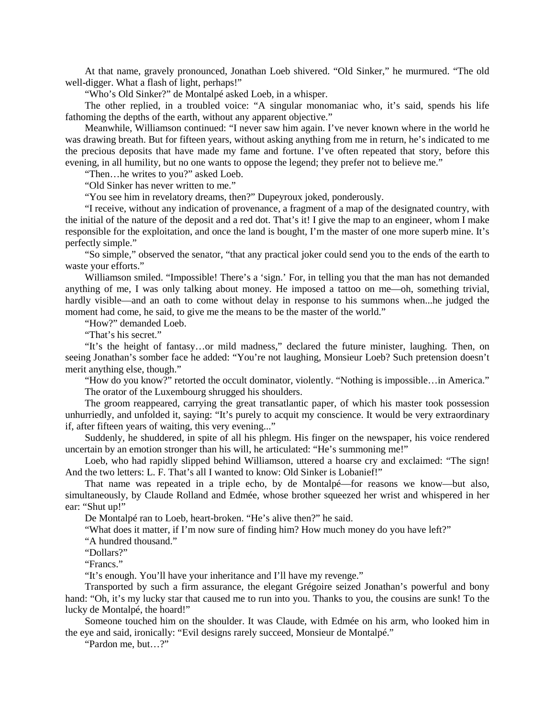At that name, gravely pronounced, Jonathan Loeb shivered. "Old Sinker," he murmured. "The old well-digger. What a flash of light, perhaps!"

"Who's Old Sinker?" de Montalpé asked Loeb, in a whisper.

The other replied, in a troubled voice: "A singular monomaniac who, it's said, spends his life fathoming the depths of the earth, without any apparent objective."

Meanwhile, Williamson continued: "I never saw him again. I've never known where in the world he was drawing breath. But for fifteen years, without asking anything from me in return, he's indicated to me the precious deposits that have made my fame and fortune. I've often repeated that story, before this evening, in all humility, but no one wants to oppose the legend; they prefer not to believe me."

"Then…he writes to you?" asked Loeb.

"Old Sinker has never written to me."

"You see him in revelatory dreams, then?" Dupeyroux joked, ponderously.

"I receive, without any indication of provenance, a fragment of a map of the designated country, with the initial of the nature of the deposit and a red dot. That's it! I give the map to an engineer, whom I make responsible for the exploitation, and once the land is bought, I'm the master of one more superb mine. It's perfectly simple."

"So simple," observed the senator, "that any practical joker could send you to the ends of the earth to waste your efforts."

Williamson smiled. "Impossible! There's a 'sign.' For, in telling you that the man has not demanded anything of me, I was only talking about money. He imposed a tattoo on me—oh, something trivial, hardly visible—and an oath to come without delay in response to his summons when...he judged the moment had come, he said, to give me the means to be the master of the world."

"How?" demanded Loeb.

"That's his secret."

"It's the height of fantasy…or mild madness," declared the future minister, laughing. Then, on seeing Jonathan's somber face he added: "You're not laughing, Monsieur Loeb? Such pretension doesn't merit anything else, though."

"How do you know?" retorted the occult dominator, violently. "Nothing is impossible…in America." The orator of the Luxembourg shrugged his shoulders.

The groom reappeared, carrying the great transatlantic paper, of which his master took possession unhurriedly, and unfolded it, saying: "It's purely to acquit my conscience. It would be very extraordinary if, after fifteen years of waiting, this very evening..."

Suddenly, he shuddered, in spite of all his phlegm. His finger on the newspaper, his voice rendered uncertain by an emotion stronger than his will, he articulated: "He's summoning me!"

Loeb, who had rapidly slipped behind Williamson, uttered a hoarse cry and exclaimed: "The sign! And the two letters: L. F. That's all I wanted to know: Old Sinker is Lobanief!"

That name was repeated in a triple echo, by de Montalpé—for reasons we know—but also, simultaneously, by Claude Rolland and Edmée, whose brother squeezed her wrist and whispered in her ear: "Shut up!"

De Montalpé ran to Loeb, heart-broken. "He's alive then?" he said.

"What does it matter, if I'm now sure of finding him? How much money do you have left?"

"A hundred thousand."

"Dollars?"

"Francs."

"It's enough. You'll have your inheritance and I'll have my revenge."

Transported by such a firm assurance, the elegant Grégoire seized Jonathan's powerful and bony hand: "Oh, it's my lucky star that caused me to run into you. Thanks to you, the cousins are sunk! To the lucky de Montalpé, the hoard!"

Someone touched him on the shoulder. It was Claude, with Edmée on his arm, who looked him in the eye and said, ironically: "Evil designs rarely succeed, Monsieur de Montalpé."

"Pardon me, but…?"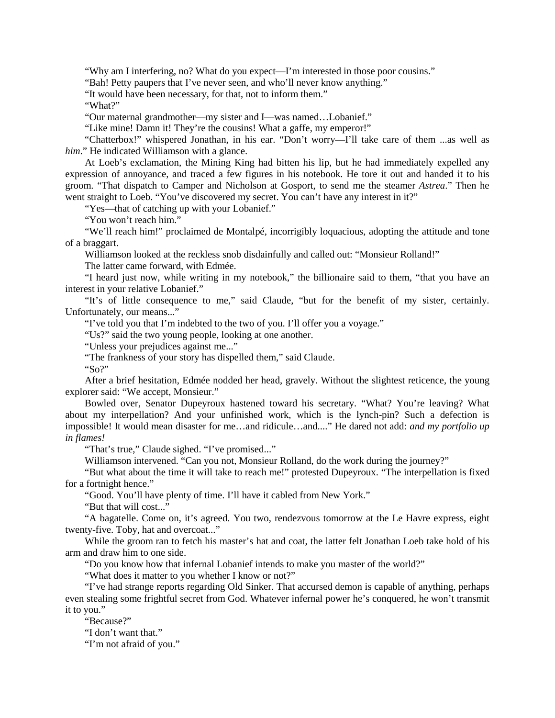"Why am I interfering, no? What do you expect—I'm interested in those poor cousins."

"Bah! Petty paupers that I've never seen, and who'll never know anything."

"It would have been necessary, for that, not to inform them."

"What?"

"Our maternal grandmother—my sister and I—was named…Lobanief."

"Like mine! Damn it! They're the cousins! What a gaffe, my emperor!"

"Chatterbox!" whispered Jonathan, in his ear. "Don't worry—I'll take care of them ...as well as *him*." He indicated Williamson with a glance.

At Loeb's exclamation, the Mining King had bitten his lip, but he had immediately expelled any expression of annoyance, and traced a few figures in his notebook. He tore it out and handed it to his groom. "That dispatch to Camper and Nicholson at Gosport, to send me the steamer *Astrea*." Then he went straight to Loeb. "You've discovered my secret. You can't have any interest in it?"

"Yes—that of catching up with your Lobanief."

"You won't reach him."

"We'll reach him!" proclaimed de Montalpé, incorrigibly loquacious, adopting the attitude and tone of a braggart.

Williamson looked at the reckless snob disdainfully and called out: "Monsieur Rolland!"

The latter came forward, with Edmée.

"I heard just now, while writing in my notebook," the billionaire said to them, "that you have an interest in your relative Lobanief."

"It's of little consequence to me," said Claude, "but for the benefit of my sister, certainly. Unfortunately, our means..."

"I've told you that I'm indebted to the two of you. I'll offer you a voyage."

"Us?" said the two young people, looking at one another.

"Unless your prejudices against me..."

"The frankness of your story has dispelled them," said Claude.

"So?"

After a brief hesitation, Edmée nodded her head, gravely. Without the slightest reticence, the young explorer said: "We accept, Monsieur."

Bowled over, Senator Dupeyroux hastened toward his secretary. "What? You're leaving? What about my interpellation? And your unfinished work, which is the lynch-pin? Such a defection is impossible! It would mean disaster for me…and ridicule…and...." He dared not add: *and my portfolio up in flames!*

"That's true," Claude sighed. "I've promised..."

Williamson intervened. "Can you not, Monsieur Rolland, do the work during the journey?"

"But what about the time it will take to reach me!" protested Dupeyroux. "The interpellation is fixed for a fortnight hence."

"Good. You'll have plenty of time. I'll have it cabled from New York."

"But that will cost..."

"A bagatelle. Come on, it's agreed. You two, rendezvous tomorrow at the Le Havre express, eight twenty-five. Toby, hat and overcoat..."

While the groom ran to fetch his master's hat and coat, the latter felt Jonathan Loeb take hold of his arm and draw him to one side.

"Do you know how that infernal Lobanief intends to make you master of the world?"

"What does it matter to you whether I know or not?"

"I've had strange reports regarding Old Sinker. That accursed demon is capable of anything, perhaps even stealing some frightful secret from God. Whatever infernal power he's conquered, he won't transmit it to you."

"Because?"

"I don't want that"

"I'm not afraid of you."